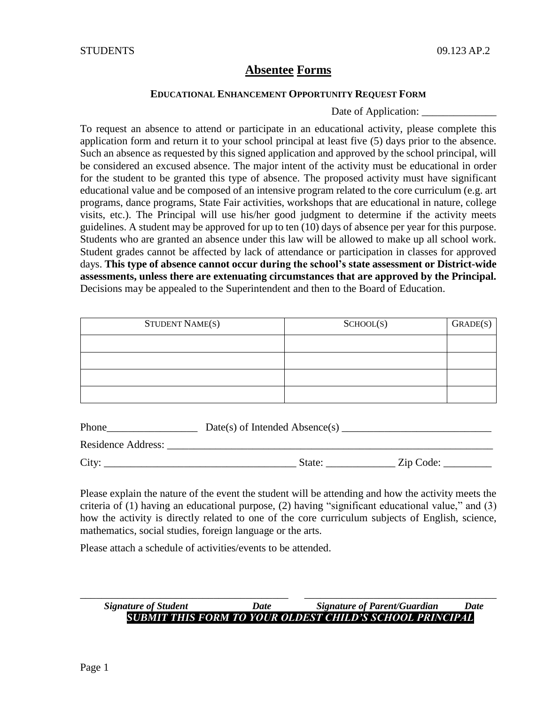# **Absentee Forms**

#### **EDUCATIONAL ENHANCEMENT OPPORTUNITY REQUEST FORM**

#### Date of Application: \_\_\_\_\_\_\_\_\_\_\_\_\_\_

To request an absence to attend or participate in an educational activity, please complete this application form and return it to your school principal at least five (5) days prior to the absence. Such an absence as requested by this signed application and approved by the school principal, will be considered an excused absence. The major intent of the activity must be educational in order for the student to be granted this type of absence. The proposed activity must have significant educational value and be composed of an intensive program related to the core curriculum (e.g. art programs, dance programs, State Fair activities, workshops that are educational in nature, college visits, etc.). The Principal will use his/her good judgment to determine if the activity meets guidelines. A student may be approved for up to ten (10) days of absence per year for this purpose. Students who are granted an absence under this law will be allowed to make up all school work. Student grades cannot be affected by lack of attendance or participation in classes for approved days. **This type of absence cannot occur during the school's state assessment or District-wide assessments, unless there are extenuating circumstances that are approved by the Principal.** Decisions may be appealed to the Superintendent and then to the Board of Education.

| <b>STUDENT NAME(S)</b> | SCHOOL(S) | GRADE(S) |
|------------------------|-----------|----------|
|                        |           |          |
|                        |           |          |
|                        |           |          |
|                        |           |          |

| Phone<br>$Date(s)$ of Intended Absence(s) |        |           |  |  |
|-------------------------------------------|--------|-----------|--|--|
| <b>Residence Address:</b>                 |        |           |  |  |
| City:                                     | State: | Zip Code: |  |  |

Please explain the nature of the event the student will be attending and how the activity meets the criteria of (1) having an educational purpose, (2) having "significant educational value," and (3) how the activity is directly related to one of the core curriculum subjects of English, science, mathematics, social studies, foreign language or the arts.

Please attach a schedule of activities/events to be attended.

| <b>Signature of Student</b>                                     | Date | <b>Signature of Parent/Guardian</b> | Date |
|-----------------------------------------------------------------|------|-------------------------------------|------|
| <b>SUBMIT THIS FORM TO YOUR OLDEST CHILD'S SCHOOL PRINCIPAL</b> |      |                                     |      |